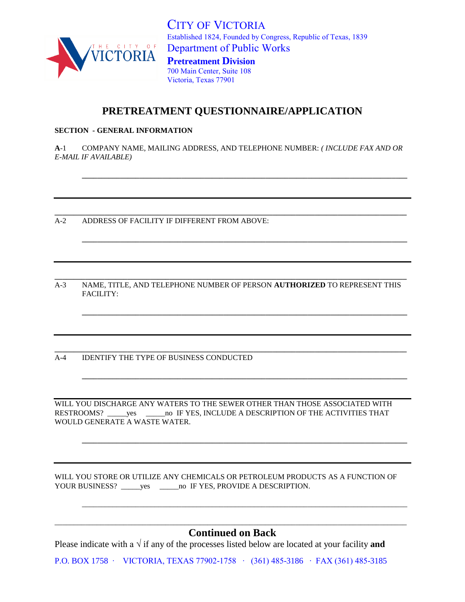

CITY OF VICTORIA Established 1824, Founded by Congress, Republic of Texas, 1839 Department of Public Works **Pretreatment Division** 700 Main Center, Suite 108

Victoria, Texas 77901

## **PRETREATMENT QUESTIONNAIRE/APPLICATION**

## **SECTION - GENERAL INFORMATION**

**A**-1 COMPANY NAME, MAILING ADDRESS, AND TELEPHONE NUMBER: *( INCLUDE FAX AND OR E-MAIL IF AVAILABLE)*

**\_\_\_\_\_\_\_\_\_\_\_\_\_\_\_\_\_\_\_\_\_\_\_\_\_\_\_\_\_\_\_\_\_\_\_\_\_\_\_\_\_\_\_\_\_\_\_\_\_\_\_\_\_\_\_\_\_\_\_\_\_\_\_\_\_\_\_\_\_\_\_\_\_\_\_\_\_\_\_\_\_\_\_\_\_\_\_\_\_\_\_\_**

**\_\_\_\_\_\_\_\_\_\_\_\_\_\_\_\_\_\_\_\_\_\_\_\_\_\_\_\_\_\_\_\_\_\_\_\_\_\_\_\_\_\_\_\_\_\_\_\_\_\_\_\_\_\_\_\_\_\_\_\_\_\_\_\_\_\_\_\_\_\_\_\_\_\_\_\_\_\_\_\_\_\_\_\_\_**

**\_\_\_\_\_\_\_\_\_\_\_\_\_\_\_\_\_\_\_\_\_\_\_\_\_\_\_\_\_\_\_\_\_\_\_\_\_\_\_\_\_\_\_\_\_\_\_\_\_\_\_\_\_\_\_\_\_\_\_\_\_\_\_\_\_\_\_\_\_\_\_\_\_\_\_\_\_\_\_\_\_\_\_\_\_**

**\_\_\_\_\_\_\_\_\_\_\_\_\_\_\_\_\_\_\_\_\_\_\_\_\_\_\_\_\_\_\_\_\_\_\_\_\_\_\_\_\_\_\_\_\_\_\_\_\_\_\_\_\_\_\_\_\_\_\_\_\_\_\_\_\_\_\_\_\_\_\_\_\_\_\_\_\_\_\_\_\_\_\_\_\_**

**\_\_\_\_\_\_\_\_\_\_\_\_\_\_\_\_\_\_\_\_\_\_\_\_\_\_\_\_\_\_\_\_\_\_\_\_\_\_\_\_\_\_\_\_\_\_\_\_\_\_\_\_\_\_\_\_\_\_\_\_\_\_\_\_\_\_\_\_\_\_\_\_\_\_\_\_\_\_\_\_\_\_\_\_\_**

**\_\_\_\_\_\_\_\_\_\_\_\_\_\_\_\_\_\_\_\_\_\_\_\_\_\_\_\_\_\_\_\_\_\_\_\_\_\_\_\_\_\_\_\_\_\_\_\_\_\_\_\_\_\_\_\_\_\_\_\_\_\_\_\_\_\_\_\_\_\_\_\_\_\_\_\_\_\_\_\_\_\_\_\_\_**

\_\_\_\_\_\_\_\_\_\_\_\_\_\_\_\_\_\_\_\_\_\_\_\_\_\_\_\_\_\_\_\_\_\_\_\_\_\_\_\_\_\_\_\_\_\_\_\_\_\_\_\_\_\_\_\_\_\_\_\_\_\_\_\_\_\_\_\_\_\_\_\_\_\_\_\_\_\_\_\_\_\_\_\_\_

A-2 ADDRESS OF FACILITY IF DIFFERENT FROM ABOVE:

**\_\_\_\_\_\_\_\_\_\_\_\_\_\_\_\_\_\_\_\_\_\_\_\_\_\_\_\_\_\_\_\_\_\_\_\_\_\_\_\_\_\_\_\_\_\_\_\_\_\_\_\_\_\_\_\_\_\_\_\_\_\_\_\_\_\_\_\_\_\_\_\_\_\_\_\_\_\_\_\_\_\_\_\_\_\_\_\_\_\_\_\_** A-3 NAME, TITLE, AND TELEPHONE NUMBER OF PERSON **AUTHORIZED** TO REPRESENT THIS FACILITY:

**\_\_\_\_\_\_\_\_\_\_\_\_\_\_\_\_\_\_\_\_\_\_\_\_\_\_\_\_\_\_\_\_\_\_\_\_\_\_\_\_\_\_\_\_\_\_\_\_\_\_\_\_\_\_\_\_\_\_\_\_\_\_\_\_\_\_\_\_\_\_\_\_\_\_\_\_\_\_\_\_\_\_\_\_\_\_\_\_\_\_\_\_** 

A-4 IDENTIFY THE TYPE OF BUSINESS CONDUCTED

WILL YOU DISCHARGE ANY WATERS TO THE SEWER OTHER THAN THOSE ASSOCIATED WITH RESTROOMS? wes \_\_\_\_\_\_\_\_no IF YES, INCLUDE A DESCRIPTION OF THE ACTIVITIES THAT WOULD GENERATE A WASTE WATER.

WILL YOU STORE OR UTILIZE ANY CHEMICALS OR PETROLEUM PRODUCTS AS A FUNCTION OF YOUR BUSINESS? \_\_\_\_\_yes \_\_\_\_\_\_no IF YES, PROVIDE A DESCRIPTION.

\_\_\_\_\_\_\_\_\_\_\_\_\_\_\_\_\_\_\_\_\_\_\_\_\_\_\_\_\_\_\_\_\_\_\_\_\_\_\_\_\_\_\_\_\_\_\_\_\_\_\_\_\_\_\_\_\_\_\_\_\_\_\_\_\_\_\_\_\_\_\_\_\_\_\_\_\_\_\_\_\_\_\_\_\_\_\_\_\_\_\_\_ **Continued on Back**

Please indicate with a √ if any of the processes listed below are located at your facility **and** 

P.O. BOX 1758 ∙ VICTORIA, TEXAS 77902-1758 ∙ (361) 485-3186 ∙ FAX (361) 485-3185